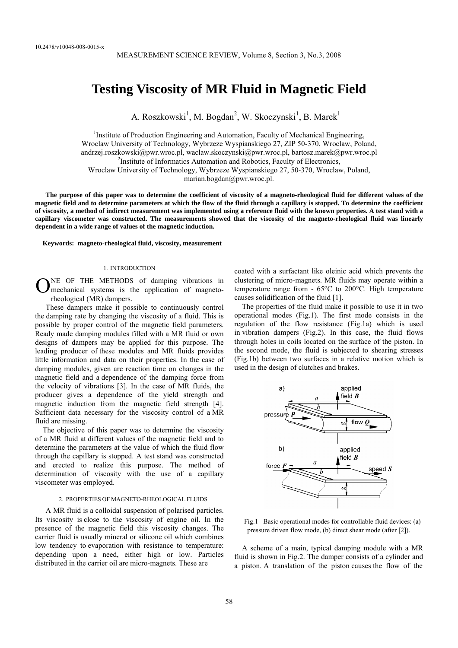# **Testing Viscosity of MR Fluid in Magnetic Field**

A. Roszkowski<sup>1</sup>, M. Bogdan<sup>2</sup>, W. Skoczynski<sup>1</sup>, B. Marek<sup>1</sup>

<sup>1</sup>Institute of Production Engineering and Automation, Faculty of Mechanical Engineering, Wroclaw University of Technology, Wybrzeze Wyspianskiego 27, ZIP 50-370, Wroclaw, Poland, andrzej.roszkowski@pwr.wroc.pl, waclaw.skoczynski@pwr.wroc.pl, bartosz.marek@pwr.wroc.pl 2 <sup>2</sup>Institute of Informatics Automation and Robotics, Faculty of Electronics, Wroclaw University of Technology, Wybrzeze Wyspianskiego 27, 50-370, Wroclaw, Poland, marian.bogdan@pwr.wroc.pl.

**The purpose of this paper was to determine the coefficient of viscosity of a magneto-rheological fluid for different values of the magnetic field and to determine parameters at which the flow of the fluid through a capillary is stopped. To determine the coefficient of viscosity, a method of indirect measurement was implemented using a reference fluid with the known properties. A test stand with a capillary viscometer was constructed. The measurements showed that the viscosity of the magneto-rheological fluid was linearly dependent in a wide range of values of the magnetic induction.** 

**Keywords: magneto-rheological fluid, viscosity, measurement** 

## 1. INTRODUCTION

NE OF THE METHODS of damping vibrations in ONE OF THE METHODS of damping vibrations in mechanical systems is the application of magnetorheological (MR) dampers.

These dampers make it possible to continuously control the damping rate by changing the viscosity of a fluid. This is possible by proper control of the magnetic field parameters. Ready made damping modules filled with a MR fluid or own designs of dampers may be applied for this purpose. The leading producer of these modules and MR fluids provides little information and data on their properties. In the case of damping modules, given are reaction time on changes in the magnetic field and a dependence of the damping force from the velocity of vibrations [3]. In the case of MR fluids, the producer gives a dependence of the yield strength and magnetic induction from the magnetic field strength [4]. Sufficient data necessary for the viscosity control of a MR fluid are missing.

The objective of this paper was to determine the viscosity of a MR fluid at different values of the magnetic field and to determine the parameters at the value of which the fluid flow through the capillary is stopped. A test stand was constructed and erected to realize this purpose. The method of determination of viscosity with the use of a capillary viscometer was employed.

## 2. PROPERTIES OF MAGNETO-RHEOLOGICAL FLUIDS

A MR fluid is a colloidal suspension of polarised particles. Its viscosity is close to the viscosity of engine oil. In the presence of the magnetic field this viscosity changes. The carrier fluid is usually mineral or silicone oil which combines low tendency to evaporation with resistance to temperature: depending upon a need, either high or low. Particles distributed in the carrier oil are micro-magnets. These are

coated with a surfactant like oleinic acid which prevents the clustering of micro-magnets. MR fluids may operate within a temperature range from - 65°C to 200°C. High temperature causes solidification of the fluid [1].

The properties of the fluid make it possible to use it in two operational modes (Fig.1). The first mode consists in the regulation of the flow resistance (Fig.1a) which is used in vibration dampers (Fig.2). In this case, the fluid flows through holes in coils located on the surface of the piston. In the second mode, the fluid is subjected to shearing stresses (Fig.1b) between two surfaces in a relative motion which is used in the design of clutches and brakes.



Fig.1 Basic operational modes for controllable fluid devices: (a) pressure driven flow mode, (b) direct shear mode (after [2]).

A scheme of a main, typical damping module with a MR fluid is shown in Fig.2. The damper consists of a cylinder and a piston. A translation of the piston causes the flow of the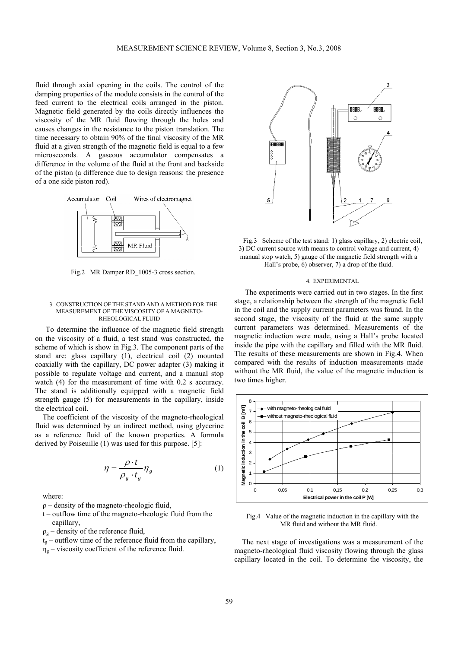fluid through axial opening in the coils. The control of the damping properties of the module consists in the control of the feed current to the electrical coils arranged in the piston. Magnetic field generated by the coils directly influences the viscosity of the MR fluid flowing through the holes and causes changes in the resistance to the piston translation. The time necessary to obtain 90% of the final viscosity of the MR fluid at a given strength of the magnetic field is equal to a few microseconds. A gaseous accumulator compensates a difference in the volume of the fluid at the front and backside of the piston (a difference due to design reasons: the presence of a one side piston rod).



Fig.2 MR Damper RD 1005-3 cross section.

#### 3. CONSTRUCTION OF THE STAND AND A METHOD FOR THE MEASUREMENT OF THE VISCOSITY OF A MAGNETO-RHEOLOGICAL FLUID

To determine the influence of the magnetic field strength on the viscosity of a fluid, a test stand was constructed, the scheme of which is show in Fig.3. The component parts of the stand are: glass capillary (1), electrical coil (2) mounted coaxially with the capillary, DC power adapter (3) making it possible to regulate voltage and current, and a manual stop watch (4) for the measurement of time with 0.2 s accuracy. The stand is additionally equipped with a magnetic field strength gauge (5) for measurements in the capillary, inside the electrical coil.

The coefficient of the viscosity of the magneto-rheological fluid was determined by an indirect method, using glycerine as a reference fluid of the known properties. A formula derived by Poiseuille (1) was used for this purpose. [5]:

$$
\eta = \frac{\rho \cdot t}{\rho_g \cdot t_g} \eta_g \tag{1}
$$

where:

 $\rho$  – density of the magneto-rheologic fluid,

- t outflow time of the magneto-rheologic fluid from the capillary,
- $\rho_{\rm g}$  density of the reference fluid,

 $t_{g}$  – outflow time of the reference fluid from the capillary,  $\eta_{\rm g}$  – viscosity coefficient of the reference fluid.



Fig.3 Scheme of the test stand: 1) glass capillary, 2) electric coil, 3) DC current source with means to control voltage and current, 4) manual stop watch, 5) gauge of the magnetic field strength with a Hall's probe, 6) observer, 7) a drop of the fluid.

#### 4. EXPERIMENTAL

The experiments were carried out in two stages. In the first stage, a relationship between the strength of the magnetic field in the coil and the supply current parameters was found. In the second stage, the viscosity of the fluid at the same supply current parameters was determined. Measurements of the magnetic induction were made, using a Hall's probe located inside the pipe with the capillary and filled with the MR fluid. The results of these measurements are shown in Fig.4. When compared with the results of induction measurements made without the MR fluid, the value of the magnetic induction is two times higher.



Fig.4 Value of the magnetic induction in the capillary with the MR fluid and without the MR fluid.

The next stage of investigations was a measurement of the magneto-rheological fluid viscosity flowing through the glass capillary located in the coil. To determine the viscosity, the